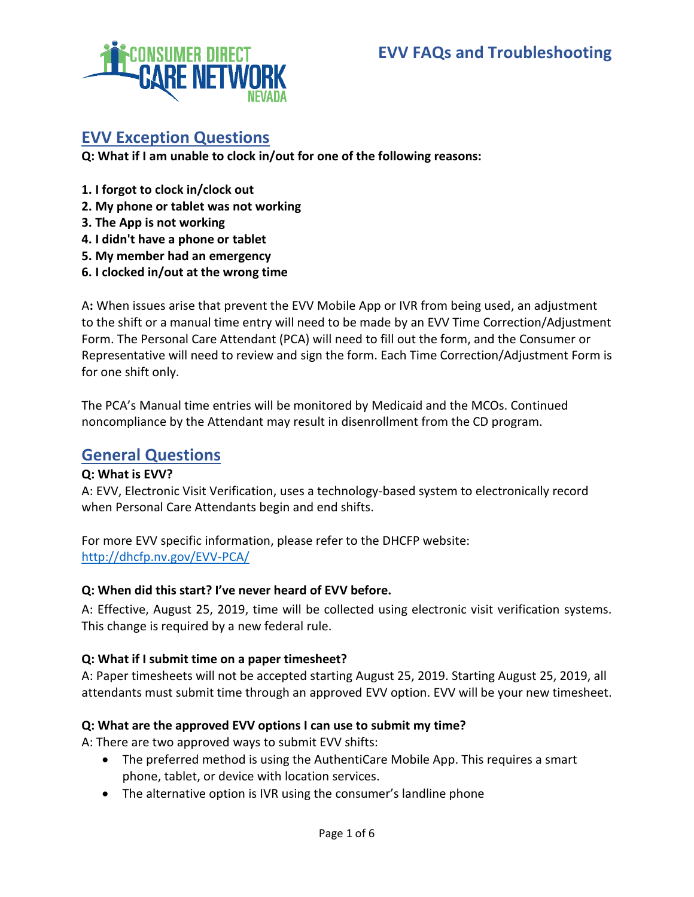

# **EVV Exception Questions**

**Q: What if I am unable to clock in/out for one of the following reasons:**

- **1. I forgot to clock in/clock out**
- **2. My phone or tablet was not working**
- **3. The App is not working**
- **4. I didn't have a phone or tablet**
- **5. My member had an emergency**
- **6. I clocked in/out at the wrong time**

A**:** When issues arise that prevent the EVV Mobile App or IVR from being used, an adjustment to the shift or a manual time entry will need to be made by an EVV Time Correction/Adjustment Form. The Personal Care Attendant (PCA) will need to fill out the form, and the Consumer or Representative will need to review and sign the form. Each Time Correction/Adjustment Form is for one shift only.

The PCA's Manual time entries will be monitored by Medicaid and the MCOs. Continued noncompliance by the Attendant may result in disenrollment from the CD program.

# **General Questions**

# **Q: What is EVV?**

A: EVV, Electronic Visit Verification, uses a technology-based system to electronically record when Personal Care Attendants begin and end shifts.

For more EVV specific information, please refer to the DHCFP website: http://dhcfp.nv.gov/EVV-PCA/

### **Q: When did this start? I've never heard of EVV before.**

A: Effective, August 25, 2019, time will be collected using electronic visit verification systems. This change is required by a new federal rule.

### **Q: What if I submit time on a paper timesheet?**

A: Paper timesheets will not be accepted starting August 25, 2019. Starting August 25, 2019, all attendants must submit time through an approved EVV option. EVV will be your new timesheet.

# **Q: What are the approved EVV options I can use to submit my time?**

A: There are two approved ways to submit EVV shifts:

- The preferred method is using the AuthentiCare Mobile App. This requires a smart phone, tablet, or device with location services.
- The alternative option is IVR using the consumer's landline phone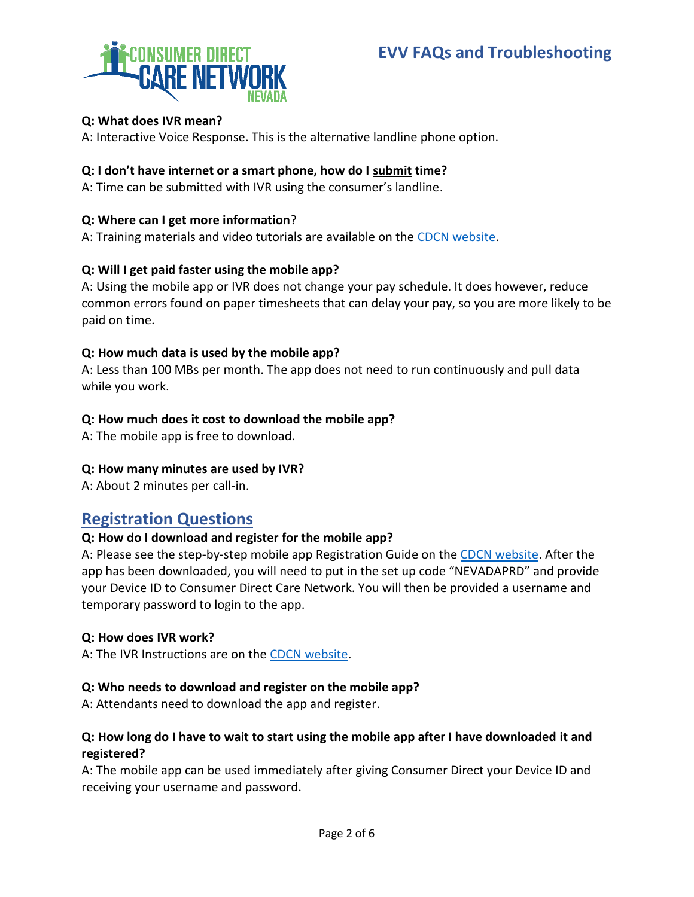# **EVV FAQs and Troubleshooting**



## **Q: What does IVR mean?**

A: Interactive Voice Response. This is the alternative landline phone option.

## **Q: I don't have internet or a smart phone, how do I submit time?**

A: Time can be submitted with IVR using the consumer's landline.

## **Q: Where can I get more information**?

A: Training materials and video tutorials are available on the CDCN [website.](https://consumerdirectnv.com/evv-training-materials/)

# **Q: Will I get paid faster using the mobile app?**

A: Using the mobile app or IVR does not change your pay schedule. It does however, reduce common errors found on paper timesheets that can delay your pay, so you are more likely to be paid on time.

### **Q: How much data is used by the mobile app?**

A: Less than 100 MBs per month. The app does not need to run continuously and pull data while you work.

### **Q: How much does it cost to download the mobile app?**

A: The mobile app is free to download.

### **Q: How many minutes are used by IVR?**

A: About 2 minutes per call-in.

# **Registration Questions**

### **Q: How do I download and register for the mobile app?**

A: Please see the step-by-step mobile app Registration Guide on the [CDCN website.](https://www.consumerdirectva.com/training-materials/) After the app has been downloaded, you will need to put in the set up code "NEVADAPRD" and provide your Device ID to Consumer Direct Care Network. You will then be provided a username and temporary password to login to the app.

### **Q: How does IVR work?**

A: The IVR Instructions are on the [CDCN website.](https://www.consumerdirectva.com/training-materials/)

# **Q: Who needs to download and register on the mobile app?**

A: Attendants need to download the app and register.

### **Q: How long do I have to wait to start using the mobile app after I have downloaded it and registered?**

A: The mobile app can be used immediately after giving Consumer Direct your Device ID and receiving your username and password.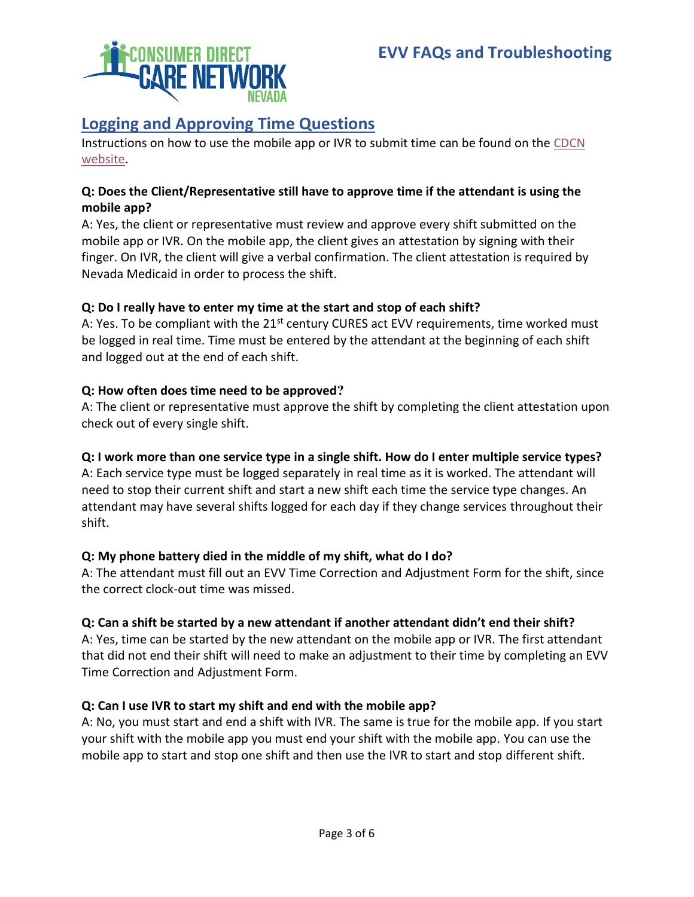# **Logging and Approving Time Questions**

Instructions on how to use the mobile app or IVR to submit time can be found on the [CDCN](https://www.consumerdirectva.com/training-materials/)  [website.](https://www.consumerdirectva.com/training-materials/)

# **Q: Does the Client/Representative still have to approve time if the attendant is using the mobile app?**

A: Yes, the client or representative must review and approve every shift submitted on the mobile app or IVR. On the mobile app, the client gives an attestation by signing with their finger. On IVR, the client will give a verbal confirmation. The client attestation is required by Nevada Medicaid in order to process the shift.

# **Q: Do I really have to enter my time at the start and stop of each shift?**

A: Yes. To be compliant with the  $21<sup>st</sup>$  century CURES act EVV requirements, time worked must be logged in real time. Time must be entered by the attendant at the beginning of each shift and logged out at the end of each shift.

# **Q: How often does time need to be approved?**

A: The client or representative must approve the shift by completing the client attestation upon check out of every single shift.

# **Q: I work more than one service type in a single shift. How do I enter multiple service types?**

A: Each service type must be logged separately in real time as it is worked. The attendant will need to stop their current shift and start a new shift each time the service type changes. An attendant may have several shifts logged for each day if they change services throughout their shift.

# **Q: My phone battery died in the middle of my shift, what do I do?**

A: The attendant must fill out an EVV Time Correction and Adjustment Form for the shift, since the correct clock-out time was missed.

# **Q: Can a shift be started by a new attendant if another attendant didn't end their shift?**

A: Yes, time can be started by the new attendant on the mobile app or IVR. The first attendant that did not end their shift will need to make an adjustment to their time by completing an EVV Time Correction and Adjustment Form.

# **Q: Can I use IVR to start my shift and end with the mobile app?**

A: No, you must start and end a shift with IVR. The same is true for the mobile app. If you start your shift with the mobile app you must end your shift with the mobile app. You can use the mobile app to start and stop one shift and then use the IVR to start and stop different shift.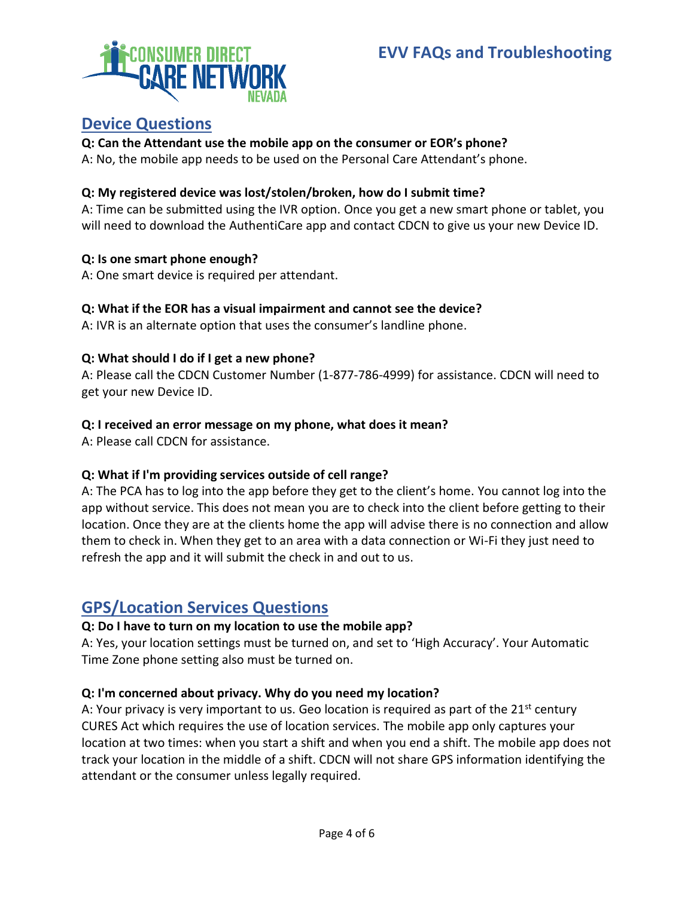

# **Device Questions**

# **Q: Can the Attendant use the mobile app on the consumer or EOR's phone?**

A: No, the mobile app needs to be used on the Personal Care Attendant's phone.

# **Q: My registered device was lost/stolen/broken, how do I submit time?**

A: Time can be submitted using the IVR option. Once you get a new smart phone or tablet, you will need to download the AuthentiCare app and contact CDCN to give us your new Device ID.

# **Q: Is one smart phone enough?**

A: One smart device is required per attendant.

# **Q: What if the EOR has a visual impairment and cannot see the device?**

A: IVR is an alternate option that uses the consumer's landline phone.

# **Q: What should I do if I get a new phone?**

A: Please call the CDCN Customer Number (1-877-786-4999) for assistance. CDCN will need to get your new Device ID.

# **Q: I received an error message on my phone, what does it mean?**

A: Please call CDCN for assistance.

# **Q: What if I'm providing services outside of cell range?**

A: The PCA has to log into the app before they get to the client's home. You cannot log into the app without service. This does not mean you are to check into the client before getting to their location. Once they are at the clients home the app will advise there is no connection and allow them to check in. When they get to an area with a data connection or Wi-Fi they just need to refresh the app and it will submit the check in and out to us.

# **GPS/Location Services Questions**

# **Q: Do I have to turn on my location to use the mobile app?**

A: Yes, your location settings must be turned on, and set to 'High Accuracy'. Your Automatic Time Zone phone setting also must be turned on.

# **Q: I'm concerned about privacy. Why do you need my location?**

A: Your privacy is very important to us. Geo location is required as part of the  $21<sup>st</sup>$  century CURES Act which requires the use of location services. The mobile app only captures your location at two times: when you start a shift and when you end a shift. The mobile app does not track your location in the middle of a shift. CDCN will not share GPS information identifying the attendant or the consumer unless legally required.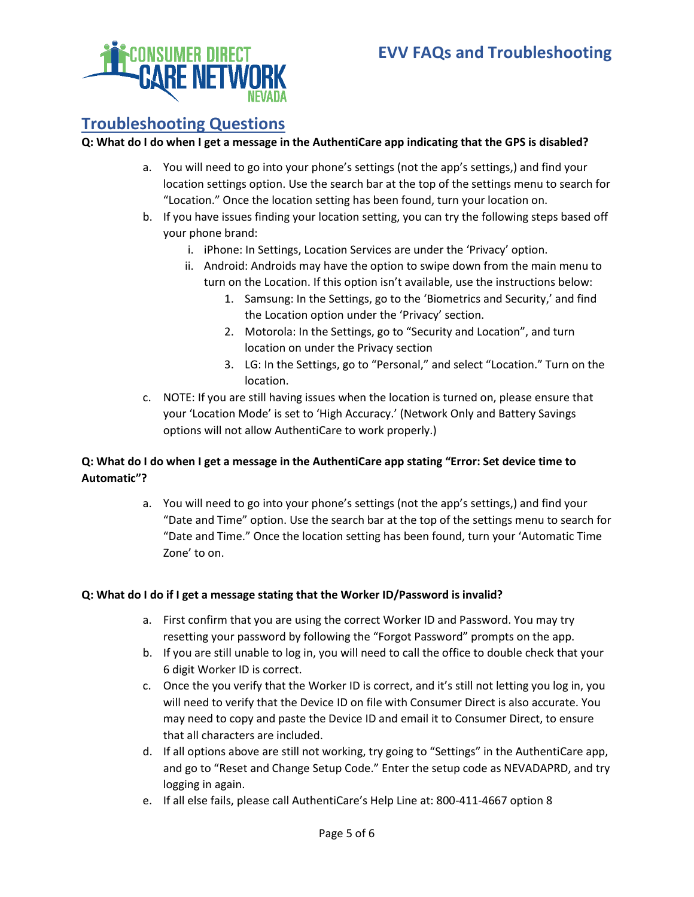

# **Troubleshooting Questions**

#### **Q: What do I do when I get a message in the AuthentiCare app indicating that the GPS is disabled?**

- a. You will need to go into your phone's settings (not the app's settings,) and find your location settings option. Use the search bar at the top of the settings menu to search for "Location." Once the location setting has been found, turn your location on.
- b. If you have issues finding your location setting, you can try the following steps based off your phone brand:
	- i. iPhone: In Settings, Location Services are under the 'Privacy' option.
	- ii. Android: Androids may have the option to swipe down from the main menu to turn on the Location. If this option isn't available, use the instructions below:
		- 1. Samsung: In the Settings, go to the 'Biometrics and Security,' and find the Location option under the 'Privacy' section.
		- 2. Motorola: In the Settings, go to "Security and Location", and turn location on under the Privacy section
		- 3. LG: In the Settings, go to "Personal," and select "Location." Turn on the location.
- c. NOTE: If you are still having issues when the location is turned on, please ensure that your 'Location Mode' is set to 'High Accuracy.' (Network Only and Battery Savings options will not allow AuthentiCare to work properly.)

# **Q: What do I do when I get a message in the AuthentiCare app stating "Error: Set device time to Automatic"?**

a. You will need to go into your phone's settings (not the app's settings,) and find your "Date and Time" option. Use the search bar at the top of the settings menu to search for "Date and Time." Once the location setting has been found, turn your 'Automatic Time Zone' to on.

#### **Q: What do I do if I get a message stating that the Worker ID/Password is invalid?**

- a. First confirm that you are using the correct Worker ID and Password. You may try resetting your password by following the "Forgot Password" prompts on the app.
- b. If you are still unable to log in, you will need to call the office to double check that your 6 digit Worker ID is correct.
- c. Once the you verify that the Worker ID is correct, and it's still not letting you log in, you will need to verify that the Device ID on file with Consumer Direct is also accurate. You may need to copy and paste the Device ID and email it to Consumer Direct, to ensure that all characters are included.
- d. If all options above are still not working, try going to "Settings" in the AuthentiCare app, and go to "Reset and Change Setup Code." Enter the setup code as NEVADAPRD, and try logging in again.
- e. If all else fails, please call AuthentiCare's Help Line at: 800-411-4667 option 8